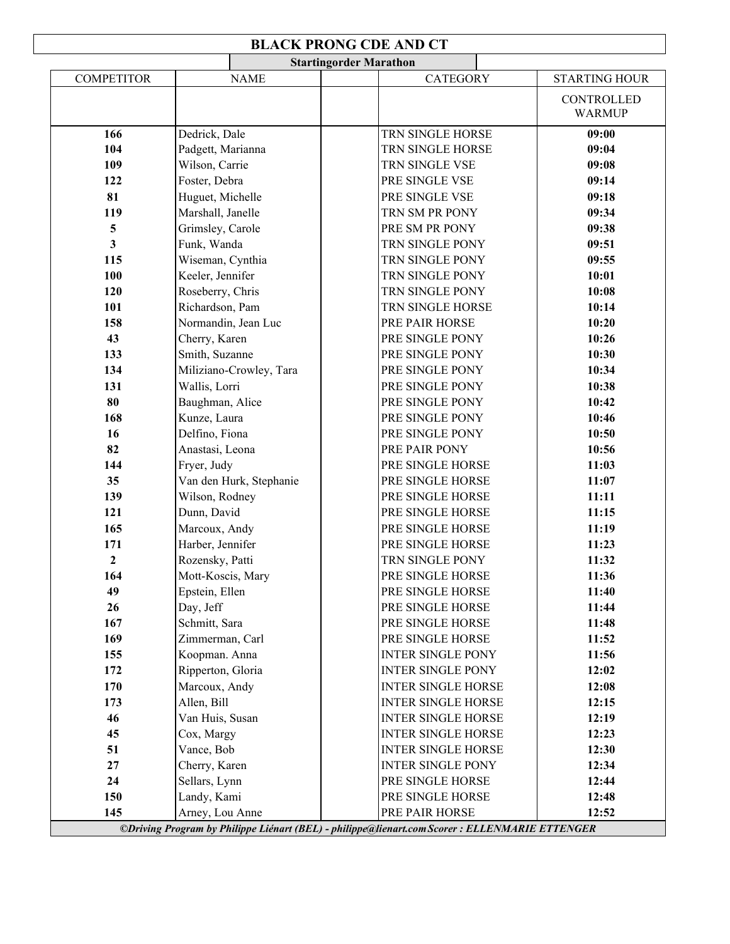## **BLACK PRONG CDE AND CT**

|                   | <b>Startingorder Marathon</b> |                                                                                                |                             |  |  |  |
|-------------------|-------------------------------|------------------------------------------------------------------------------------------------|-----------------------------|--|--|--|
| <b>COMPETITOR</b> | <b>NAME</b>                   | <b>CATEGORY</b>                                                                                | <b>STARTING HOUR</b>        |  |  |  |
|                   |                               |                                                                                                | CONTROLLED<br><b>WARMUP</b> |  |  |  |
| 166               | Dedrick, Dale                 | TRN SINGLE HORSE                                                                               | 09:00                       |  |  |  |
| 104               | Padgett, Marianna             | TRN SINGLE HORSE                                                                               | 09:04                       |  |  |  |
| 109               | Wilson, Carrie                | TRN SINGLE VSE                                                                                 | 09:08                       |  |  |  |
| 122               | Foster, Debra                 | PRE SINGLE VSE                                                                                 | 09:14                       |  |  |  |
| 81                | Huguet, Michelle              | PRE SINGLE VSE                                                                                 | 09:18                       |  |  |  |
| 119               | Marshall, Janelle             | TRN SM PR PONY                                                                                 | 09:34                       |  |  |  |
| 5                 | Grimsley, Carole              | PRE SM PR PONY                                                                                 | 09:38                       |  |  |  |
| 3                 | Funk, Wanda                   | TRN SINGLE PONY                                                                                | 09:51                       |  |  |  |
| 115               | Wiseman, Cynthia              | TRN SINGLE PONY                                                                                | 09:55                       |  |  |  |
| 100               | Keeler, Jennifer              | TRN SINGLE PONY                                                                                | 10:01                       |  |  |  |
| 120               | Roseberry, Chris              | TRN SINGLE PONY                                                                                | 10:08                       |  |  |  |
| 101               | Richardson, Pam               | TRN SINGLE HORSE                                                                               | 10:14                       |  |  |  |
| 158               | Normandin, Jean Luc           | PRE PAIR HORSE                                                                                 | 10:20                       |  |  |  |
| 43                | Cherry, Karen                 | PRE SINGLE PONY                                                                                | 10:26                       |  |  |  |
| 133               | Smith, Suzanne                | PRE SINGLE PONY                                                                                | 10:30                       |  |  |  |
| 134               | Miliziano-Crowley, Tara       | PRE SINGLE PONY                                                                                | 10:34                       |  |  |  |
| 131               | Wallis, Lorri                 | PRE SINGLE PONY                                                                                | 10:38                       |  |  |  |
| 80                | Baughman, Alice               | PRE SINGLE PONY                                                                                | 10:42                       |  |  |  |
| 168               | Kunze, Laura                  | PRE SINGLE PONY                                                                                | 10:46                       |  |  |  |
| 16                | Delfino, Fiona                | PRE SINGLE PONY                                                                                | 10:50                       |  |  |  |
| 82                | Anastasi, Leona               | PRE PAIR PONY                                                                                  | 10:56                       |  |  |  |
| 144               | Fryer, Judy                   | PRE SINGLE HORSE                                                                               | 11:03                       |  |  |  |
| 35                | Van den Hurk, Stephanie       | PRE SINGLE HORSE                                                                               | 11:07                       |  |  |  |
| 139               | Wilson, Rodney                | PRE SINGLE HORSE                                                                               | 11:11                       |  |  |  |
| 121               | Dunn, David                   | PRE SINGLE HORSE                                                                               | 11:15                       |  |  |  |
| 165               | Marcoux, Andy                 | PRE SINGLE HORSE                                                                               | 11:19                       |  |  |  |
| 171               | Harber, Jennifer              | PRE SINGLE HORSE                                                                               | 11:23                       |  |  |  |
| $\mathbf{2}$      | Rozensky, Patti               | TRN SINGLE PONY                                                                                | 11:32                       |  |  |  |
| 164               | Mott-Koscis, Mary             | PRE SINGLE HORSE                                                                               | 11:36                       |  |  |  |
| 49                | Epstein, Ellen                | PRE SINGLE HORSE                                                                               | 11:40                       |  |  |  |
| 26                | Day, Jeff                     | PRE SINGLE HORSE                                                                               | 11:44                       |  |  |  |
| 167               | Schmitt, Sara                 | PRE SINGLE HORSE                                                                               | 11:48                       |  |  |  |
| 169               | Zimmerman, Carl               | PRE SINGLE HORSE                                                                               | 11:52                       |  |  |  |
| 155               | Koopman. Anna                 | <b>INTER SINGLE PONY</b>                                                                       | 11:56                       |  |  |  |
| 172               | Ripperton, Gloria             | <b>INTER SINGLE PONY</b>                                                                       | 12:02                       |  |  |  |
| 170               | Marcoux, Andy                 | <b>INTER SINGLE HORSE</b>                                                                      | 12:08                       |  |  |  |
| 173               | Allen, Bill                   | <b>INTER SINGLE HORSE</b>                                                                      | 12:15                       |  |  |  |
| 46                | Van Huis, Susan               | <b>INTER SINGLE HORSE</b>                                                                      | 12:19                       |  |  |  |
| 45                | Cox, Margy                    | <b>INTER SINGLE HORSE</b>                                                                      | 12:23                       |  |  |  |
| 51                | Vance, Bob                    | <b>INTER SINGLE HORSE</b>                                                                      | 12:30                       |  |  |  |
| 27                | Cherry, Karen                 | <b>INTER SINGLE PONY</b>                                                                       | 12:34                       |  |  |  |
| 24                | Sellars, Lynn                 | PRE SINGLE HORSE                                                                               | 12:44                       |  |  |  |
| 150               | Landy, Kami                   | PRE SINGLE HORSE                                                                               | 12:48                       |  |  |  |
| 145               | Arney, Lou Anne               | PRE PAIR HORSE                                                                                 | 12:52                       |  |  |  |
|                   |                               | ©Driving Program by Philippe Liénart (BEL) - philippe@lienart.com Scorer : ELLENMARIE ETTENGER |                             |  |  |  |